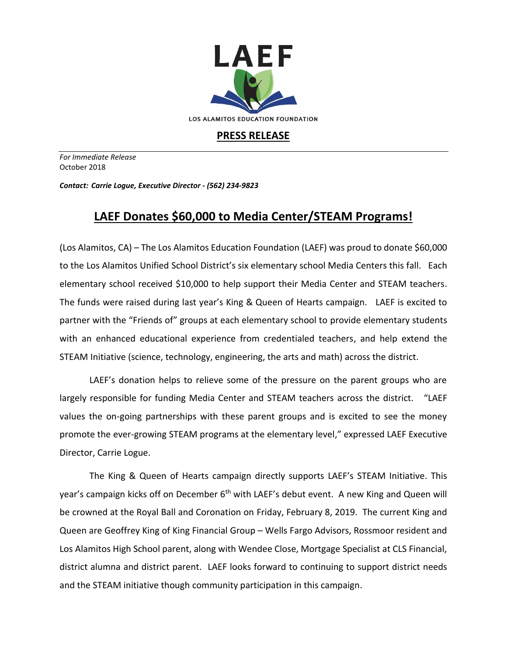

## **PRESS RELEASE**

*For Immediate Release*  October 2018

*Contact: Carrie Logue, Executive Director - (562) 234-9823*

## **LAEF Donates \$60,000 to Media Center/STEAM Programs!**

(Los Alamitos, CA) – The Los Alamitos Education Foundation (LAEF) was proud to donate \$60,000 to the Los Alamitos Unified School District's six elementary school Media Centers this fall. Each elementary school received \$10,000 to help support their Media Center and STEAM teachers. The funds were raised during last year's King & Queen of Hearts campaign. LAEF is excited to partner with the "Friends of" groups at each elementary school to provide elementary students with an enhanced educational experience from credentialed teachers, and help extend the STEAM Initiative (science, technology, engineering, the arts and math) across the district.

LAEF's donation helps to relieve some of the pressure on the parent groups who are largely responsible for funding Media Center and STEAM teachers across the district. "LAEF values the on-going partnerships with these parent groups and is excited to see the money promote the ever-growing STEAM programs at the elementary level," expressed LAEF Executive Director, Carrie Logue.

The King & Queen of Hearts campaign directly supports LAEF's STEAM Initiative. This year's campaign kicks off on December 6<sup>th</sup> with LAEF's debut event. A new King and Queen will be crowned at the Royal Ball and Coronation on Friday, February 8, 2019. The current King and Queen are Geoffrey King of King Financial Group – Wells Fargo Advisors, Rossmoor resident and Los Alamitos High School parent, along with Wendee Close, Mortgage Specialist at CLS Financial, district alumna and district parent. LAEF looks forward to continuing to support district needs and the STEAM initiative though community participation in this campaign.